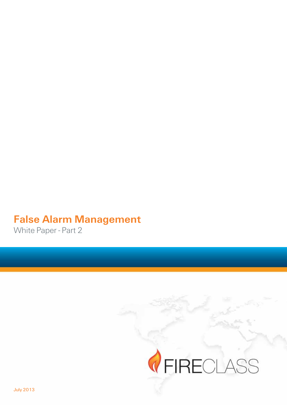# **False Alarm Management**

White Paper - Part 2

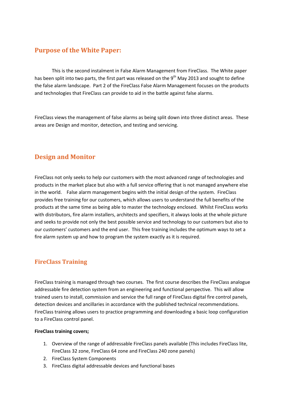## **Purpose of the White Paper:**

This is the second instalment in False Alarm Management from FireClass. The White paper has been split into two parts, the first part was released on the 9<sup>th</sup> May 2013 and sought to define the false alarm landscape. Part 2 of the FireClass False Alarm Management focuses on the products and technologies that FireClass can provide to aid in the battle against false alarms.

FireClass views the management of false alarms as being split down into three distinct areas. These areas are Design and monitor, detection, and testing and servicing.

## **Design and Monitor**

FireClass not only seeks to help our customers with the most advanced range of technologies and products in the market place but also with a full service offering that is not managed anywhere else in!the!world.!!!!False!alarm!management!begins!with!the!initial!design!of!the!system.!!FireClass! provides free training for our customers, which allows users to understand the full benefits of the products at the same time as being able to master the technology enclosed. Whilst FireClass works with distributors, fire alarm installers, architects and specifiers, it always looks at the whole picture and seeks to provide not only the best possible service and technology to our customers but also to our customers' customers and the end user. This free training includes the optimum ways to set a fire alarm system up and how to program the system exactly as it is required.

## **FireClass(Training**

FireClass training is managed through two courses. The first course describes the FireClass analogue addressable fire detection system from an engineering and functional perspective. This will allow trained users to install, commission and service the full range of FireClass digital fire control panels, detection devices and ancillaries in accordance with the published technical recommendations. FireClass training allows users to practice programming and downloading a basic loop configuration to a FireClass control panel.

#### **FireClass training covers;**

- 1. Overview of the range of addressable FireClass panels available (This includes FireClass lite, FireClass 32 zone, FireClass 64 zone and FireClass 240 zone panels)
- 2. FireClass System Components
- 3. FireClass digital addressable devices and functional bases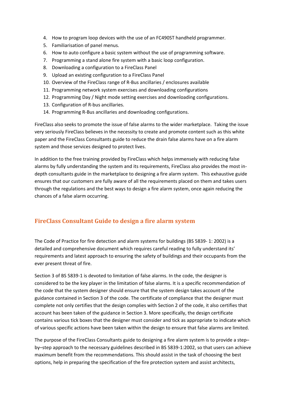- 4. How to program loop devices with the use of an FC490ST handheld programmer.
- 5. Familiarisation of panel menus.
- 6. How to auto configure a basic system without the use of programming software.
- 7. Programming a stand alone fire system with a basic loop configuration.
- 8. Downloading a configuration to a FireClass Panel
- 9. Upload an existing configuration to a FireClass Panel
- 10. Overview of the FireClass range of R-Bus ancillaries / enclosures available
- 11. Programming network system exercises and downloading configurations
- 12. Programming Day / Night mode setting exercises and downloading configurations.
- 13. Configuration of R-bus ancillaries.
- 14. Programming R-Bus ancillaries and downloading configurations.

FireClass also seeks to promote the issue of false alarms to the wider marketplace. Taking the issue very seriously FireClass believes in the necessity to create and promote content such as this white paper and the FireClass Consultants guide to reduce the drain false alarms have on a fire alarm system and those services designed to protect lives.

In addition to the free training provided by FireClass which helps immensely with reducing false alarms by fully understanding the system and its requirements, FireClass also provides the most indepth consultants guide in the marketplace to designing a fire alarm system. This exhaustive guide ensures that our customers are fully aware of all the requirements placed on them and takes users through the regulations and the best ways to design a fire alarm system, once again reducing the chances of a false alarm occurring.

#### FireClass Consultant Guide to design a fire alarm system

The Code of Practice for fire detection and alarm systems for buildings (BS 5839-1: 2002) is a detailed and comprehensive document which requires careful reading to fully understand its' requirements and latest approach to ensuring the safety of buildings and their occupants from the ever present threat of fire.

Section 3 of BS 5839-1 is devoted to limitation of false alarms. In the code, the designer is considered to be the key player in the limitation of false alarms. It is a specific recommendation of the code that the system designer should ensure that the system design takes account of the guidance contained in Section 3 of the code. The certificate of compliance that the designer must complete not only certifies that the design complies with Section 2 of the code, it also certifies that account has been taken of the guidance in Section 3. More specifically, the design certificate contains various tick boxes that the designer must consider and tick as appropriate to indicate which of various specific actions have been taken within the design to ensure that false alarms are limited.

The purpose of the FireClass Consultants guide to designing a fire alarm system is to provide a step– by–step approach to the necessary guidelines described in BS 5839-1:2002, so that users can achieve maximum benefit from the recommendations. This should assist in the task of choosing the best options, help in preparing the specification of the fire protection system and assist architects,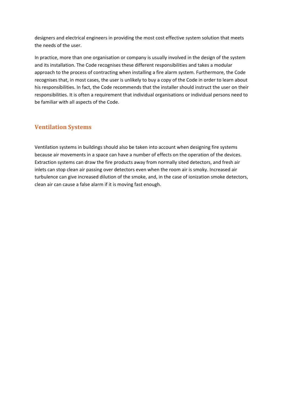designers and electrical engineers in providing the most cost effective system solution that meets the needs of the user.

In practice, more than one organisation or company is usually involved in the design of the system and its installation. The Code recognises these different responsibilities and takes a modular approach to the process of contracting when installing a fire alarm system. Furthermore, the Code recognises that, in most cases, the user is unlikely to buy a copy of the Code in order to learn about his responsibilities. In fact, the Code recommends that the installer should instruct the user on their responsibilities. It is often a requirement that individual organisations or individual persons need to be familiar with all aspects of the Code.

## **Ventilation Systems**

Ventilation systems in buildings should also be taken into account when designing fire systems because air movements in a space can have a number of effects on the operation of the devices. Extraction systems can draw the fire products away from normally sited detectors, and fresh air inlets can stop clean air passing over detectors even when the room air is smoky. Increased air turbulence can give increased dilution of the smoke, and, in the case of ionization smoke detectors, clean air can cause a false alarm if it is moving fast enough.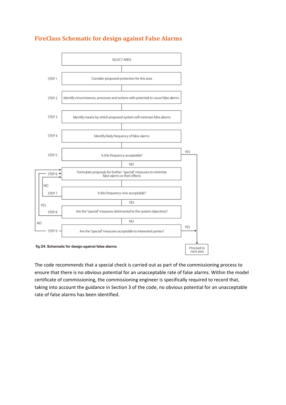

## **FireClass Schematic for design against False Alarms**

The code recommends that a special check is carried out as part of the commissioning process to ensure that there is no obvious potential for an unacceptable rate of false alarms. Within the model certificate of commissioning, the commissioning engineer is specifically required to record that, taking into account the guidance in Section 3 of the code, no obvious potential for an unacceptable rate of false alarms has been identified.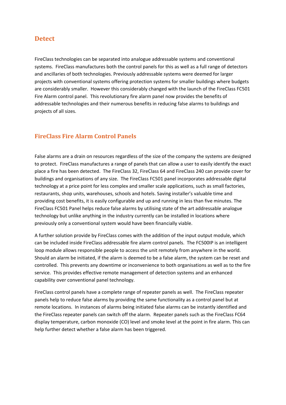#### **Detect**

FireClass technologies can be separated into analogue addressable systems and conventional systems. FireClass manufactures both the control panels for this as well as a full range of detectors and ancillaries of both technologies. Previously addressable systems were deemed for larger projects with conventional systems offering protection systems for smaller buildings where budgets are considerably smaller. However this considerably changed with the launch of the FireClass FC501 Fire Alarm control panel. This revolutionary fire alarm panel now provides the benefits of addressable technologies and their numerous benefits in reducing false alarms to buildings and projects of all sizes.

#### **FireClass Fire Alarm Control Panels**

False alarms are a drain on resources regardless of the size of the company the systems are designed to protect. FireClass manufactures a range of panels that can allow a user to easily identify the exact place a fire has been detected. The FireClass 32, FireClass 64 and FireClass 240 can provide cover for buildings and organisations of any size. The FireClass FC501 panel incorporates addressable digital technology at a price point for less complex and smaller scale applications, such as small factories, restaurants, shop units, warehouses, schools and hotels. Saving installer's valuable time and providing cost benefits, it is easily configurable and up and running in less than five minutes. The FireClass FC501 Panel helps reduce false alarms by utilising state of the art addressable analogue technology but unlike anything in the industry currently can be installed in locations where previously only a conventional system would have been financially viable.

A further solution provide by FireClass comes with the addition of the input output module, which can be included inside FireClass addressable fire alarm control panels. The FC500IP is an intelligent loop module allows responsible people to access the unit remotely from anywhere in the world. Should an alarm be initiated, if the alarm is deemed to be a false alarm, the system can be reset and controlled. This prevents any downtime or inconvenience to both organisations as well as to the fire service. This provides effective remote management of detection systems and an enhanced capability over conventional panel technology.

FireClass control panels have a complete range of repeater panels as well. The FireClass repeater panels help to reduce false alarms by providing the same functionality as a control panel but at remote locations. In instances of alarms being initiated false alarms can be instantly identified and the FireClass repeater panels can switch off the alarm. Repeater panels such as the FireClass FC64 display temperature, carbon monoxide (CO) level and smoke level at the point in fire alarm. This can help further detect whether a false alarm has been triggered.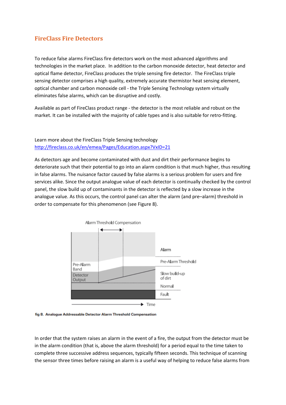#### **FireClass Fire Detectors**

To reduce false alarms FireClass fire detectors work on the most advanced algorithms and technologies in the market place. In addition to the carbon monoxide detector, heat detector and optical flame detector, FireClass produces the triple sensing fire detector. The FireClass triple sensing detector comprises a high quality, extremely accurate thermistor heat sensing element, optical chamber and carbon monoxide cell - the Triple Sensing Technology system virtually eliminates false alarms, which can be disruptive and costly.

Available as part of FireClass product range - the detector is the most reliable and robust on the market. It can be installed with the majority of cable types and is also suitable for retro-fitting.

#### Learn more about the FireClass Triple Sensing technology http://fireclass.co.uk/en/emea/Pages/Education.aspx?VxID=21

As detectors age and become contaminated with dust and dirt their performance begins to deteriorate such that their potential to go into an alarm condition is that much higher, thus resulting in false alarms. The nuisance factor caused by false alarms is a serious problem for users and fire services alike. Since the output analogue value of each detector is continually checked by the control panel, the slow build up of contaminants in the detector is reflected by a slow increase in the analogue value. As this occurs, the control panel can alter the alarm (and pre–alarm) threshold in order to compensate for this phenomenon (see Figure 8).





In order that the system raises an alarm in the event of a fire, the output from the detector must be in the alarm condition (that is, above the alarm threshold) for a period equal to the time taken to complete three successive address sequences, typically fifteen seconds. This technique of scanning the sensor three times before raising an alarm is a useful way of helping to reduce false alarms from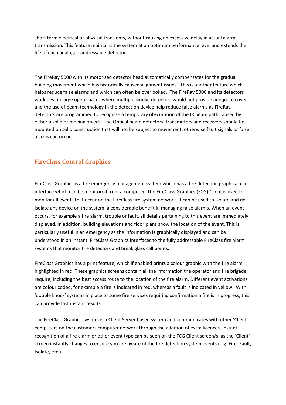short term electrical or physical transients, without causing an excessive delay in actual alarm transmission. This feature maintains the system at an optimum performance level and extends the life of each analogue addressable detector.

The FireRay 5000 with its motorised detector head automatically compensates for the gradual building movement which has historically caused alignment issues. This is another feature which helps reduce false alarms and which can often be overlooked. The FireRay 5000 and its detectors work best in large open spaces where multiple smoke detectors would not provide adequate cover and the use of beam technology in the detection device help reduce false alarms as FireRay detectors are programmed to recognise a temporary obscuration of the IR beam path caused by either a solid or moving object. The Optical beam detectors, transmitters and receivers should be mounted on solid construction that will not be subject to movement, otherwise fault signals or false alarms can occur.

## **FireClass Control Graphics**

FireClass Graphics is a fire emergency management system which has a fire detection graphical user interface which can be monitored from a computer. The FireClass Graphics (FCG) Client is used to monitor all events that occur on the FireClass fire system network. It can be used to isolate and deisolate any device on the system, a considerable benefit in managing false alarms. When an event occurs, for example a fire alarm, trouble or fault, all details pertaining to this event are immediately displayed. In addition, building elevations and floor plans show the location of the event. This is particularly useful in an emergency as the information is graphically displayed and can be understood in an instant. FireClass Graphics interfaces to the fully addressable FireClass fire alarm systems that monitor fire detectors and break glass call points.

FireClass Graphics has a print feature, which if enabled prints a colour graphic with the fire alarm highlighted in red. These graphics screens contain all the information the operator and fire brigade require, including the best access route to the location of the fire alarm. Different event activations are colour coded, for example a fire is indicated in red, whereas a fault is indicated in yellow. With 'double knock' systems in place or some fire services requiring confirmation a fire is in progress, this can provide fast instant results.

The FireClass Graphics system is a Client Server based system and communicates with other 'Client' computers on the customers computer network through the addition of extra licences. Instant recognition of a fire alarm or other event type can be seen on the FCG Client screen/s, as the 'Client' screen instantly changes to ensure you are aware of the fire detection system events (e.g. Fire. Fault, Isolate, etc.)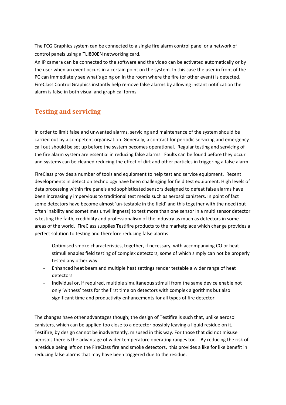The FCG Graphics system can be connected to a single fire alarm control panel or a network of control panels using a TLI800EN networking card.

An IP camera can be connected to the software and the video can be activated automatically or by the user when an event occurs in a certain point on the system. In this case the user in front of the PC can immediately see what's going on in the room where the fire (or other event) is detected. FireClass Control Graphics instantly help remove false alarms by allowing instant notification the alarm is false in both visual and graphical forms.

## **Testing and servicing**

In order to limit false and unwanted alarms, servicing and maintenance of the system should be carried out by a competent organisation. Generally, a contract for periodic servicing and emergency call out should be set up before the system becomes operational. Regular testing and servicing of the fire alarm system are essential in reducing false alarms. Faults can be found before they occur and systems can be cleaned reducing the effect of dirt and other particles in triggering a false alarm.

FireClass provides a number of tools and equipment to help test and service equipment. Recent developments in detection technology have been challenging for field test equipment. High levels of data processing within fire panels and sophisticated sensors designed to defeat false alarms have been increasingly impervious to traditional test media such as aerosol canisters. In point of fact some detectors have become almost 'un-testable in the field' and this together with the need (but often inability and sometimes unwillingness) to test more than one sensor in a multi sensor detector is testing the faith, credibility and professionalism of the industry as much as detectors in some areas of the world. FireClass supplies Testifire products to the marketplace which change provides a perfect solution to testing and therefore reducing false alarms.

- Optimised smoke characteristics, together, if necessary, with accompanying CO or heat stimuli enables field testing of complex detectors, some of which simply can not be properly tested any other way.
- Enhanced heat beam and multiple heat settings render testable a wider range of heat detectors!
- Individual or, if required, multiple simultaneous stimuli from the same device enable not only 'witness' tests for the first time on detectors with complex algorithms but also significant time and productivity enhancements for all types of fire detector

The changes have other advantages though; the design of Testifire is such that, unlike aerosol canisters, which can be applied too close to a detector possibly leaving a liquid residue on it, Testifire, by design cannot be inadvertently, misused in this way. For those that did not misuse aerosols there is the advantage of wider temperature operating ranges too. By reducing the risk of a residue being left on the FireClass fire and smoke detectors, this provides a like for like benefit in reducing false alarms that may have been triggered due to the residue.